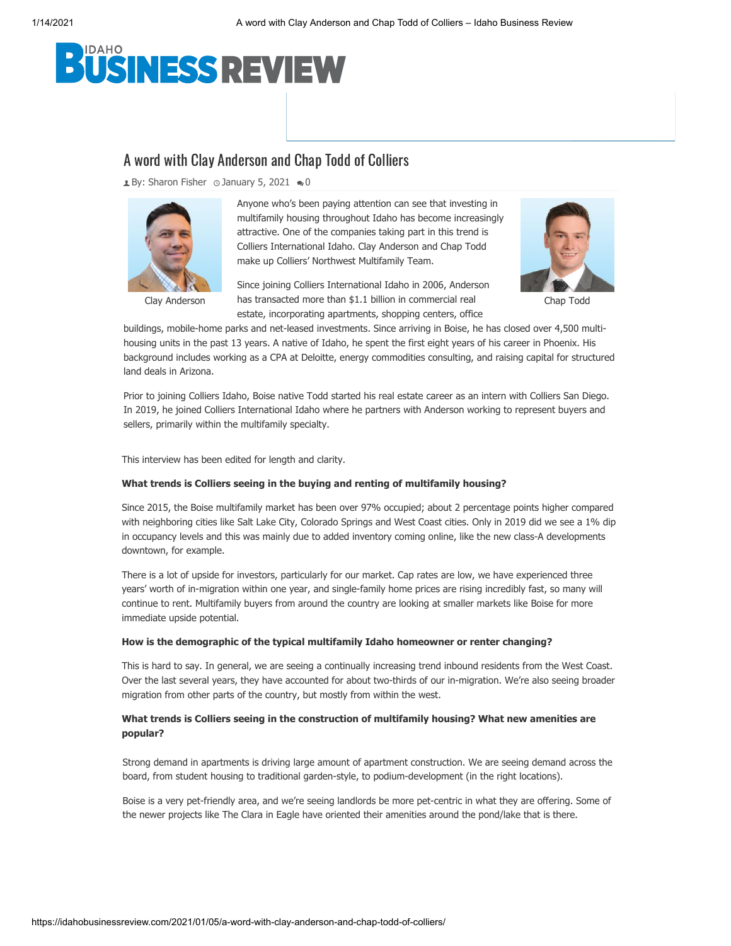# USINESS REVIEW

# A word with Clay Anderson and Chap Todd of Colliers

 $\triangle$  By: [Sharon Fisher](https://idahobusinessreview.com/author/sharonf/)  $\odot$  January 5, 2021  $\clubsuit$  0



Anyone who's been paying attention can see that investing in multifamily housing throughout Idaho has become increasingly [attractive. One](https://idahobusinessreview.com/files/2021/01/Clay-Anderson-2020.jpg) of the companies taking part in this trend is Colliers International Idaho. Clay Anderson and Chap Todd make up Colliers' Northwest Multifamily Team.

Clay Anderson has transacted more than \$1.1 billion in commercial real Chap Todd Since joining Colliers International Idaho in 2006, Anderson estate, incorporating apartments, shopping centers, office



buildings, mobile-home parks and net-leased investments. Since arriving in Boise, he has closed over 4,500 multihousing units in the past 13 years. A native of Idaho, he spent the first eight years of his career in Phoenix. His background includes working as a CPA at Deloitte, energy commodities consulting, and raising capital for structured land deals in Arizona.

Prior to joining Colliers Idaho, Boise native Todd started his real estate career as an intern with Colliers San Diego. In 2019, he joined Colliers International Idaho where he partners with Anderson working to represent buyers and sellers, primarily within the multifamily specialty.

This interview has been edited for length and clarity.

### **What trends is Colliers seeing in the buying and renting of multifamily housing?**

Since 2015, the Boise multifamily market has been over 9[7% occupied; about 2 percentage poin](https://googleads.g.doubleclick.net/pcs/click?xai=AKAOjsuBnJqOmqCbugkBNRej9CykXF_hrQDeKdPr59ls-Kyruy9sj8_bFsea0PeyGwyfzWwfWZmWqK488Anm5lKsiGZ_HeYoY2NQqTtFhsMY8JsFDRS08QULvOVFCeUFGxySDYfEADk2LSYylVNnhTetTJbuDf_Im7sJSWowr3zj5j2UQw5KcLwrnA0ma62x_dudj0OXlv1SoPj6ajiEQBzk4CzyfWQWtLUUS2yyUsQcZfKo5vFS0quclGI0X_XjcXO7y2kVnA9hthHsXTOcUoOfrxmMEVcwkqB86gnz1ckODeTdQZli1BC4GLk&sig=Cg0ArKJSzOLpxfvWR3Ze&adurl=https://stark.realestate/id/&nm=1)ts higher compared with neighboring cities like Salt Lake City, Colorado Springs and West Coast cities. Only in 2019 did we see a 1% dip in occupancy levels and this was mainly due to added inventory coming online, like the new class-A developments downtown, for example.

There is a lot of upside for investors, particularly for our market. Cap rates are low, we have experienced three years' worth of in-migration within one year, and single-family home prices are rising incredibly fast, so many will continue to rent. Multifamily buyers from around the country are looking at smaller markets like Boise for more immediate upside potential.

#### **How is the demographic of the typical multifamily Idaho homeowner or renter changing?**

This is hard to say. In general, we are seeing a continually increasing trend inbound residents from the West Coast. Over the last several years, they have accounted for about two-thirds of our in-migration. We're also seeing broader migration from other parts of the country, but mostly from within the west.

# **What trends is Colliers seeing in the construction of multifamily housing? What new amenities are popular?**

Strong demand in apartments is driving large amount of apartment construction. We are seeing demand across the board, from student housing to traditional garden-style, to podium-development (in the right locations).

Boise is a very pet-friendly area, and we're seeing landlords be more pet-centric in what they are offering. Some of the newer projects like The Clara in Eagle have oriented their amenities around the pond/lake that is there.